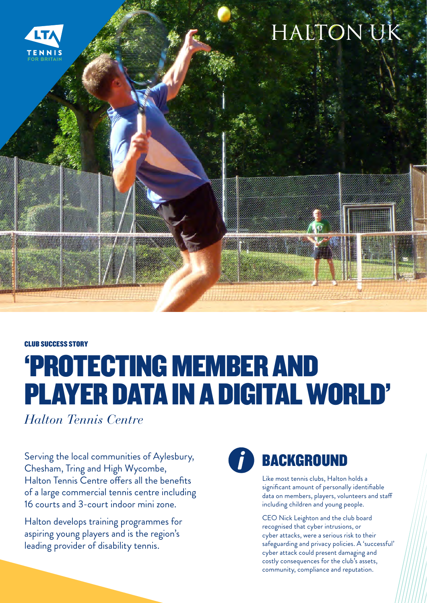

CLUB SUCCESS STORY

## 'PROTECTING MEMBER AND PLAYER DATA IN A DIGITAL WORLD'

*Halton Tennis Centre* 

Serving the local communities of Aylesbury, Chesham, Tring and High Wycombe, Halton Tennis Centre offers all the benefits of a large commercial tennis centre including 16 courts and 3-court indoor mini zone.

Halton develops training programmes for aspiring young players and is the region's leading provider of disability tennis.



## **BACKGROUND**

Like most tennis clubs, Halton holds a significant amount of personally identifiable data on members, players, volunteers and staff including children and young people.

CEO Nick Leighton and the club board recognised that cyber intrusions, or cyber attacks, were a serious risk to their safeguarding and privacy policies. A 'successful' cyber attack could present damaging and costly consequences for the club's assets, community, compliance and reputation.